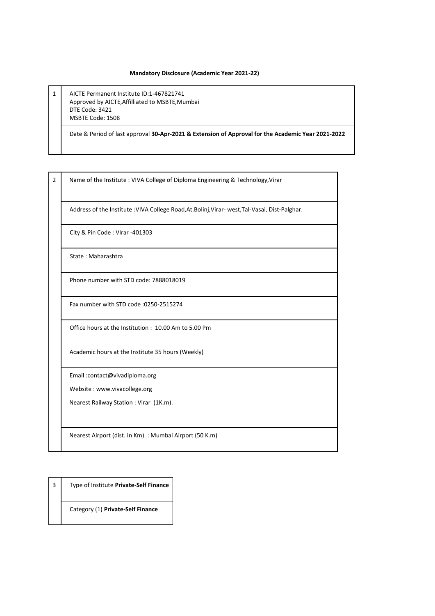## **Mandatory Disclosure (Academic Year 2021-22)**

1 AICTE Permanent Institute ID:1-467821741 Approved by AICTE,Affilliated to MSBTE,Mumbai DTE Code: 3421 MSBTE Code: 1508

Date & Period of last approval **30-Apr-2021 & Extension of Approval for the Academic Year 2021-2022**

2 Name of the Institute : VIVA College of Diploma Engineering & Technology, Virar

Address of the Institute :VIVA College Road,At.Bolinj,Virar- west,Tal-Vasai, Dist-Palghar.

City & Pin Code : VIrar -401303

State : Maharashtra

Phone number with STD code: 7888018019

Fax number with STD code :0250-2515274

Office hours at the Institution : 10.00 Am to 5.00 Pm

Academic hours at the Institute 35 hours (Weekly)

Email :contact@vivadiploma.org

Website : www.vivacollege.org

Nearest Railway Station : Virar (1K.m).

Nearest Airport (dist. in Km) : Mumbai Airport (50 K.m)

3 Type of Institute **Private-Self Finance**

Category (1) **Private-Self Finance**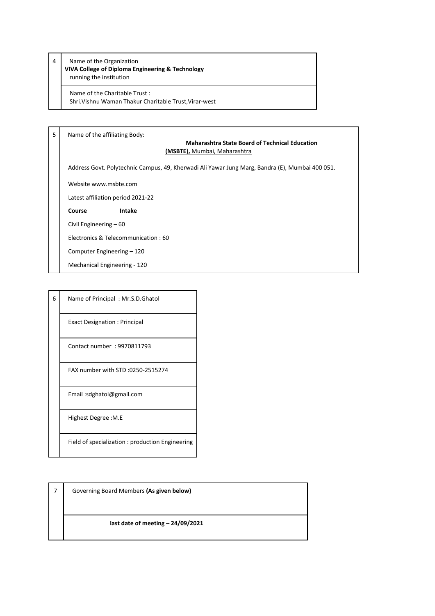4 Name of the Organization **VIVA College of Diploma Engineering & Technology** running the institution

Name of the Charitable Trust : Shri.Vishnu Waman Thakur Charitable Trust,Virar-west

5 Name of the affiliating Body:

## **Maharashtra State Board of Technical Education (MSBTE),** Mumbai, Maharashtra

Address Govt. Polytechnic Campus, 49, Kherwadi Ali Yawar Jung Marg, Bandra (E), Mumbai 400 051.

Website www.msbte.com

Latest affiliation period 2021-22

**Course Intake**

Civil Engineering – 60

Electronics & Telecommunication : 60

Computer Engineering – 120

Mechanical Engineering - 120

| $6 \mid$ | Name of Principal: Mr.S.D.Ghatol |
|----------|----------------------------------|

Exact Designation : Principal

Contact number : 9970811793

FAX number with STD :0250-2515274

Email :sdghatol@gmail.com

Highest Degree :M.E

Field of specialization : production Engineering

7 Governing Board Members **(As given below) last date of meeting – 24/09/2021**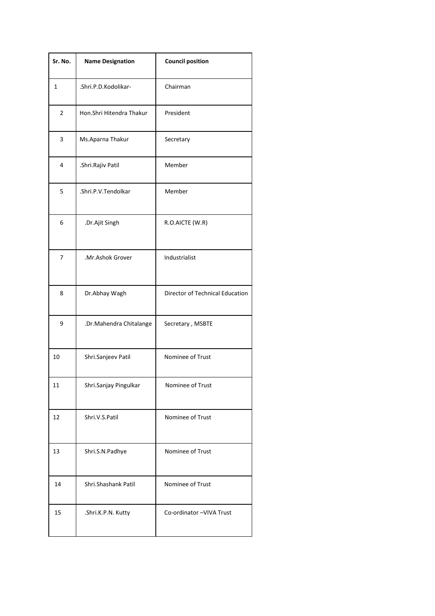| Sr. No.        | <b>Name Designation</b>  | <b>Council position</b>         |
|----------------|--------------------------|---------------------------------|
| 1              | .Shri.P.D.Kodolikar-     | Chairman                        |
| $\overline{2}$ | Hon.Shri Hitendra Thakur | President                       |
| 3              | Ms.Aparna Thakur         | Secretary                       |
| 4              | .Shri.Rajiv Patil        | Member                          |
| 5              | .Shri.P.V.Tendolkar      | Member                          |
| 6              | .Dr.Ajit Singh           | R.O.AICTE (W.R)                 |
| 7              | .Mr.Ashok Grover         | Industrialist                   |
| 8              | Dr.Abhay Wagh            | Director of Technical Education |
| 9              | .Dr.Mahendra Chitalange  | Secretary, MSBTE                |
| 10             | Shri.Sanjeev Patil       | Nominee of Trust                |
| 11             | Shri.Sanjay Pingulkar    | Nominee of Trust                |
| 12             | Shri.V.S.Patil           | Nominee of Trust                |
| 13             | Shri.S.N.Padhye          | Nominee of Trust                |
| 14             | Shri.Shashank Patil      | Nominee of Trust                |
| 15             | .Shri.K.P.N. Kutty       | Co-ordinator-VIVA Trust         |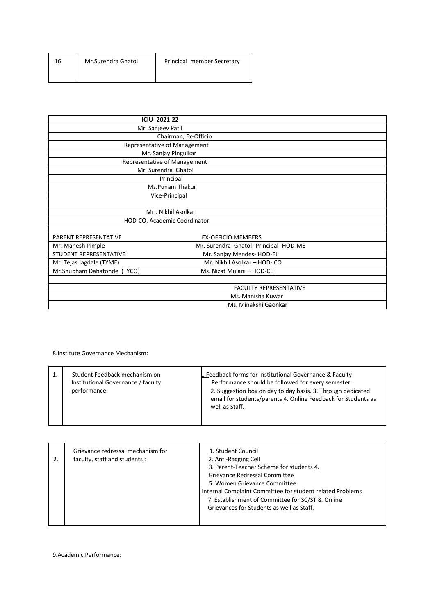| 16 | Mr.Surendra Ghatol | Principal member Secretary |
|----|--------------------|----------------------------|
|    |                    |                            |

|                              | <b>ICIU-2021-22</b>                    |  |  |  |  |
|------------------------------|----------------------------------------|--|--|--|--|
|                              | Mr. Sanjeev Patil                      |  |  |  |  |
|                              | Chairman, Ex-Officio                   |  |  |  |  |
|                              | Representative of Management           |  |  |  |  |
|                              | Mr. Sanjay Pingulkar                   |  |  |  |  |
|                              | Representative of Management           |  |  |  |  |
|                              | Mr. Surendra Ghatol                    |  |  |  |  |
|                              | Principal                              |  |  |  |  |
|                              | Ms.Punam Thakur                        |  |  |  |  |
|                              | Vice-Principal                         |  |  |  |  |
|                              |                                        |  |  |  |  |
|                              | Mr., Nikhil Asolkar                    |  |  |  |  |
| HOD-CO, Academic Coordinator |                                        |  |  |  |  |
|                              |                                        |  |  |  |  |
| PARENT REPRESENTATIVE        | <b>EX-OFFICIO MEMBERS</b>              |  |  |  |  |
| Mr. Mahesh Pimple            | Mr. Surendra Ghatol- Principal- HOD-ME |  |  |  |  |
| STUDENT REPRESENTATIVE       | Mr. Sanjay Mendes- HOD-EJ              |  |  |  |  |
| Mr. Tejas Jagdale (TYME)     | Mr. Nikhil Asolkar - HOD- CO           |  |  |  |  |
| Mr.Shubham Dahatonde (TYCO)  | Ms. Nizat Mulani - HOD-CE              |  |  |  |  |
|                              |                                        |  |  |  |  |
|                              | <b>FACULTY REPRESENTATIVE</b>          |  |  |  |  |
|                              | Ms. Manisha Kuwar                      |  |  |  |  |
|                              | Ms. Minakshi Gaonkar                   |  |  |  |  |

8.Institute Governance Mechanism:

| Feedback forms for Institutional Governance & Faculty<br>Student Feedback mechanism on<br>Institutional Governance / faculty<br>Performance should be followed for every semester.<br>2. Suggestion box on day to day basis. 3. Through dedicated<br>performance:<br>email for students/parents 4. Online Feedback for Students as<br>well as Staff. |  |
|------------------------------------------------------------------------------------------------------------------------------------------------------------------------------------------------------------------------------------------------------------------------------------------------------------------------------------------------------|--|
|------------------------------------------------------------------------------------------------------------------------------------------------------------------------------------------------------------------------------------------------------------------------------------------------------------------------------------------------------|--|

|  | Grievance redressal mechanism for<br>faculty, staff and students: | 1. Student Council<br>2. Anti-Ragging Cell<br>3. Parent-Teacher Scheme for students 4.<br>Grievance Redressal Committee<br>5. Women Grievance Committee<br>Internal Complaint Committee for student related Problems<br>7. Establishment of Committee for SC/ST 8. Online<br>Grievances for Students as well as Staff. |
|--|-------------------------------------------------------------------|------------------------------------------------------------------------------------------------------------------------------------------------------------------------------------------------------------------------------------------------------------------------------------------------------------------------|
|--|-------------------------------------------------------------------|------------------------------------------------------------------------------------------------------------------------------------------------------------------------------------------------------------------------------------------------------------------------------------------------------------------------|

9.Academic Performance: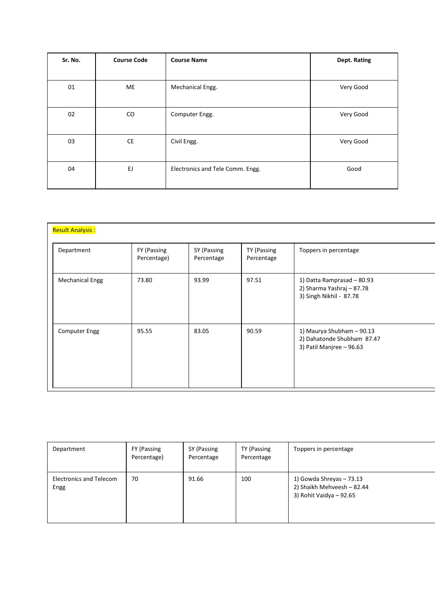| Sr. No. | <b>Course Code</b> | <b>Course Name</b>               | Dept. Rating |
|---------|--------------------|----------------------------------|--------------|
|         |                    |                                  |              |
| 01      | ME                 | Mechanical Engg.                 | Very Good    |
| 02      | CO                 | Computer Engg.                   | Very Good    |
| 03      | CE                 | Civil Engg.                      | Very Good    |
| 04      | EJ                 | Electronics and Tele Comm. Engg. | Good         |

| <b>Result Analysis:</b> |                            |                           |                           |                                                                                     |
|-------------------------|----------------------------|---------------------------|---------------------------|-------------------------------------------------------------------------------------|
| Department              | FY (Passing<br>Percentage) | SY (Passing<br>Percentage | TY (Passing<br>Percentage | Toppers in percentage                                                               |
| <b>Mechanical Engg</b>  | 73.80                      | 93.99                     | 97.51                     | 1) Datta Ramprasad - 80.93<br>2) Sharma Yashraj - 87.78<br>3) Singh Nikhil - 87.78  |
| <b>Computer Engg</b>    | 95.55                      | 83.05                     | 90.59                     | 1) Maurya Shubham - 90.13<br>2) Dahatonde Shubham 87.47<br>3) Patil Manjree - 96.63 |

| Department                             | FY (Passing<br>Percentage) | SY (Passing<br>Percentage | TY (Passing<br>Percentage | Toppers in percentage                                                             |
|----------------------------------------|----------------------------|---------------------------|---------------------------|-----------------------------------------------------------------------------------|
| <b>Electronics and Telecom</b><br>Engg | 70                         | 91.66                     | 100                       | 1) Gowda Shreyas - 73.13<br>2) Shaikh Mehveesh - 82.44<br>3) Rohit Vaidya - 92.65 |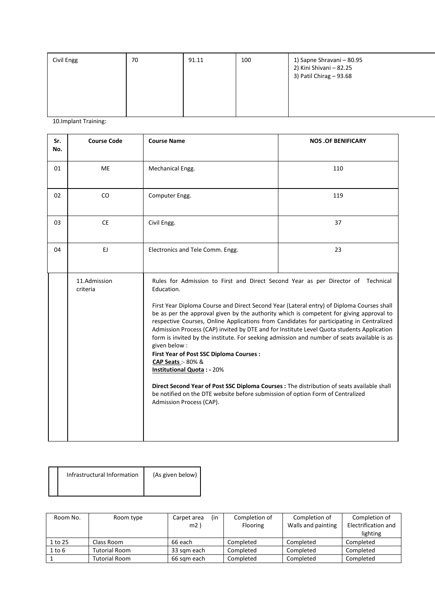| Civil Engg | 70 | 91.11 | 100 | 1) Sapne Shravani – 80.95<br>2) Kini Shivani - 82.25<br>3) Patil Chirag - 93.68 |
|------------|----|-------|-----|---------------------------------------------------------------------------------|
|            |    |       |     |                                                                                 |

10.Implant Training:

Π

| Sr.<br>No. | <b>Course Code</b>       | <b>Course Name</b>                                                                                                                                                                                                                                                                                                                                                                                                                                                                                                                                                                                                                                                                                                                                                                                                                                                                                                 | <b>NOS .OF BENIFICARY</b> |
|------------|--------------------------|--------------------------------------------------------------------------------------------------------------------------------------------------------------------------------------------------------------------------------------------------------------------------------------------------------------------------------------------------------------------------------------------------------------------------------------------------------------------------------------------------------------------------------------------------------------------------------------------------------------------------------------------------------------------------------------------------------------------------------------------------------------------------------------------------------------------------------------------------------------------------------------------------------------------|---------------------------|
| 01         | ME                       | Mechanical Engg.                                                                                                                                                                                                                                                                                                                                                                                                                                                                                                                                                                                                                                                                                                                                                                                                                                                                                                   | 110                       |
| 02         | CO                       | Computer Engg.                                                                                                                                                                                                                                                                                                                                                                                                                                                                                                                                                                                                                                                                                                                                                                                                                                                                                                     | 119                       |
| 03         | <b>CE</b>                | Civil Engg.                                                                                                                                                                                                                                                                                                                                                                                                                                                                                                                                                                                                                                                                                                                                                                                                                                                                                                        | 37                        |
| 04         | EJ.                      | Electronics and Tele Comm. Engg.                                                                                                                                                                                                                                                                                                                                                                                                                                                                                                                                                                                                                                                                                                                                                                                                                                                                                   | 23                        |
|            | 11.Admission<br>criteria | Rules for Admission to First and Direct Second Year as per Director of Technical<br>Education.<br>First Year Diploma Course and Direct Second Year (Lateral entry) of Diploma Courses shall<br>be as per the approval given by the authority which is competent for giving approval to<br>respective Courses, Online Applications from Candidates for participating in Centralized<br>Admission Process (CAP) invited by DTE and for Institute Level Quota students Application<br>form is invited by the institute. For seeking admission and number of seats available is as<br>given below :<br>First Year of Post SSC Diploma Courses :<br>CAP Seats: - 80% &<br><b>Institutional Quota: - 20%</b><br>Direct Second Year of Post SSC Diploma Courses : The distribution of seats available shall<br>be notified on the DTE website before submission of option Form of Centralized<br>Admission Process (CAP). |                           |

| Infrastructural Information | (As given below) |
|-----------------------------|------------------|
|                             |                  |

| Room No.   | Room type            | (in<br>Carpet area | Completion of | Completion of      | Completion of       |
|------------|----------------------|--------------------|---------------|--------------------|---------------------|
|            |                      | m2                 | Flooring      | Walls and painting | Electrification and |
|            |                      |                    |               |                    | lighting            |
| 1 to 25    | Class Room           | 66 each            | Completed     | Completed          | Completed           |
| $1$ to $6$ | <b>Tutorial Room</b> | 33 sam each        | Completed     | Completed          | Completed           |
|            | <b>Tutorial Room</b> | 66 sam each        | Completed     | Completed          | Completed           |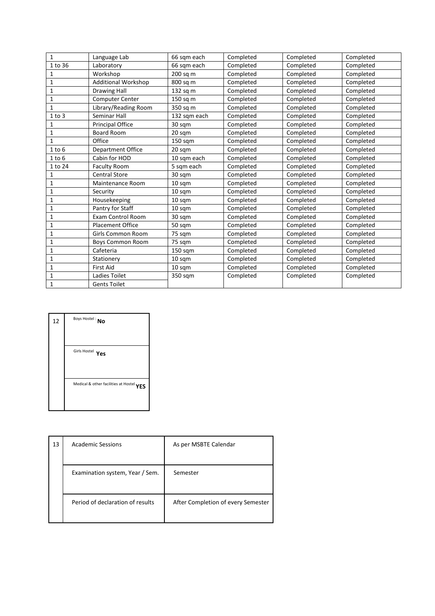| $\mathbf{1}$ | Language Lab               | 66 sqm each  | Completed | Completed | Completed |
|--------------|----------------------------|--------------|-----------|-----------|-----------|
| 1 to 36      | Laboratory                 | 66 sqm each  | Completed | Completed | Completed |
| 1            | Workshop                   | 200 sq m     | Completed | Completed | Completed |
| $\mathbf{1}$ | <b>Additional Workshop</b> | 800 sq m     | Completed | Completed | Completed |
| 1            | <b>Drawing Hall</b>        | 132 sq m     | Completed | Completed | Completed |
| $\mathbf 1$  | Computer Center            | 150 sq m     | Completed | Completed | Completed |
| $\mathbf{1}$ | Library/Reading Room       | 350 sq m     | Completed | Completed | Completed |
| $1$ to $3$   | Seminar Hall               | 132 sqm each | Completed | Completed | Completed |
| $\mathbf 1$  | <b>Principal Office</b>    | 30 sqm       | Completed | Completed | Completed |
| $\mathbf{1}$ | <b>Board Room</b>          | 20 sqm       | Completed | Completed | Completed |
| $\mathbf{1}$ | Office                     | 150 sqm      | Completed | Completed | Completed |
| $1$ to $6$   | <b>Department Office</b>   | 20 sqm       | Completed | Completed | Completed |
| $1$ to $6$   | Cabin for HOD              | 10 sqm each  | Completed | Completed | Completed |
| 1 to 24      | <b>Faculty Room</b>        | 5 sqm each   | Completed | Completed | Completed |
| $\mathbf 1$  | <b>Central Store</b>       | 30 sqm       | Completed | Completed | Completed |
| $\mathbf{1}$ | Maintenance Room           | 10 sqm       | Completed | Completed | Completed |
| 1            | Security                   | 10 sqm       | Completed | Completed | Completed |
| $\mathbf 1$  | Housekeeping               | 10 sqm       | Completed | Completed | Completed |
| $\mathbf{1}$ | Pantry for Staff           | 10 sqm       | Completed | Completed | Completed |
| $\mathbf{1}$ | <b>Exam Control Room</b>   | 30 sqm       | Completed | Completed | Completed |
| $\mathbf{1}$ | <b>Placement Office</b>    | 50 sqm       | Completed | Completed | Completed |
| $\mathbf{1}$ | <b>Girls Common Room</b>   | 75 sqm       | Completed | Completed | Completed |
| 1            | <b>Boys Common Room</b>    | 75 sqm       | Completed | Completed | Completed |
| 1            | Cafeteria                  | 150 sqm      | Completed | Completed | Completed |
| $\mathbf{1}$ | Stationery                 | 10 sqm       | Completed | Completed | Completed |
| 1            | <b>First Aid</b>           | 10 sqm       | Completed | Completed | Completed |
| $\mathbf{1}$ | Ladies Toilet              | 350 sqm      | Completed | Completed | Completed |
| $\mathbf{1}$ | <b>Gents Toilet</b>        |              |           |           |           |

| 12 | Boys Hostel: No                          |
|----|------------------------------------------|
|    | Girls Hostel Yes                         |
|    | Medical & other facilities at Hostel YES |

| 13 | <b>Academic Sessions</b>         | As per MSBTE Calendar              |
|----|----------------------------------|------------------------------------|
|    | Examination system, Year / Sem.  | Semester                           |
|    | Period of declaration of results | After Completion of every Semester |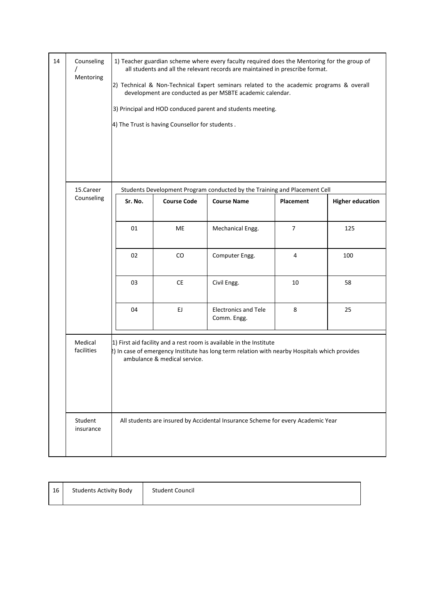| 14 | Counseling<br>Mentoring | 1) Teacher guardian scheme where every faculty required does the Mentoring for the group of<br>all students and all the relevant records are maintained in prescribe format.<br>2) Technical & Non-Technical Expert seminars related to the academic programs & overall<br>development are conducted as per MSBTE academic calendar.<br>3) Principal and HOD conduced parent and students meeting.<br>4) The Trust is having Counsellor for students. |                              |                                                                                                                                                                      |                  |                         |
|----|-------------------------|-------------------------------------------------------------------------------------------------------------------------------------------------------------------------------------------------------------------------------------------------------------------------------------------------------------------------------------------------------------------------------------------------------------------------------------------------------|------------------------------|----------------------------------------------------------------------------------------------------------------------------------------------------------------------|------------------|-------------------------|
|    | 15.Career               |                                                                                                                                                                                                                                                                                                                                                                                                                                                       |                              | Students Development Program conducted by the Training and Placement Cell                                                                                            |                  |                         |
|    | Counseling              | Sr. No.                                                                                                                                                                                                                                                                                                                                                                                                                                               | <b>Course Code</b>           | <b>Course Name</b>                                                                                                                                                   | <b>Placement</b> | <b>Higher education</b> |
|    |                         |                                                                                                                                                                                                                                                                                                                                                                                                                                                       |                              |                                                                                                                                                                      |                  |                         |
|    |                         | 01                                                                                                                                                                                                                                                                                                                                                                                                                                                    | ME                           | Mechanical Engg.                                                                                                                                                     | $\overline{7}$   |                         |
|    |                         | 02                                                                                                                                                                                                                                                                                                                                                                                                                                                    | CO                           | Computer Engg.                                                                                                                                                       | 4                | 100                     |
|    |                         | 03                                                                                                                                                                                                                                                                                                                                                                                                                                                    | <b>CE</b>                    | Civil Engg.                                                                                                                                                          | 10               | 58                      |
|    |                         | 04                                                                                                                                                                                                                                                                                                                                                                                                                                                    | EJ.                          | <b>Electronics and Tele</b><br>Comm. Engg.                                                                                                                           | 8                | 125<br>25               |
|    | Medical<br>facilities   |                                                                                                                                                                                                                                                                                                                                                                                                                                                       | ambulance & medical service. | 1) First aid facility and a rest room is available in the Institute<br>2) In case of emergency Institute has long term relation with nearby Hospitals which provides |                  |                         |
|    | Student<br>insurance    |                                                                                                                                                                                                                                                                                                                                                                                                                                                       |                              | All students are insured by Accidental Insurance Scheme for every Academic Year                                                                                      |                  |                         |

| 16 | <b>Students Activity Body</b> | <b>Student Council</b> |
|----|-------------------------------|------------------------|
|----|-------------------------------|------------------------|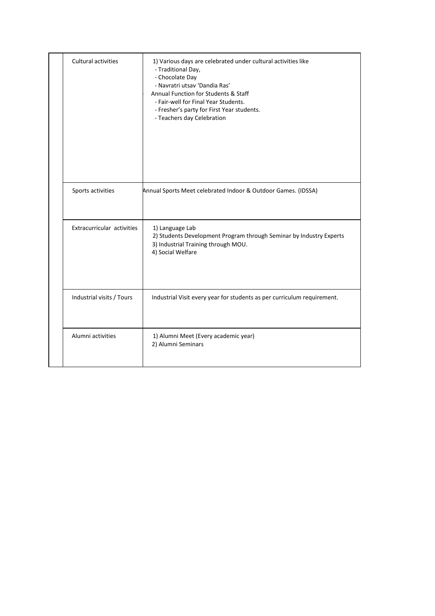| Cultural activities        | 1) Various days are celebrated under cultural activities like<br>- Traditional Day,<br>- Chocolate Day<br>- Navratri utsav 'Dandia Ras'<br>Annual Function for Students & Staff<br>- Fair-well for Final Year Students.<br>- Fresher's party for First Year students.<br>- Teachers day Celebration |
|----------------------------|-----------------------------------------------------------------------------------------------------------------------------------------------------------------------------------------------------------------------------------------------------------------------------------------------------|
| Sports activities          | Annual Sports Meet celebrated Indoor & Outdoor Games. (IDSSA)                                                                                                                                                                                                                                       |
| Extracurricular activities | 1) Language Lab<br>2) Students Development Program through Seminar by Industry Experts<br>3) Industrial Training through MOU.<br>4) Social Welfare                                                                                                                                                  |
| Industrial visits / Tours  | Industrial Visit every year for students as per curriculum requirement.                                                                                                                                                                                                                             |
| Alumni activities          | 1) Alumni Meet (Every academic year)<br>2) Alumni Seminars                                                                                                                                                                                                                                          |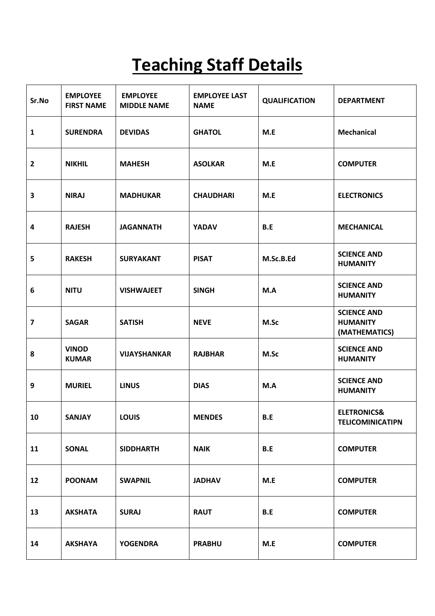## **Teaching Staff Details**

| Sr.No                   | <b>EMPLOYEE</b><br><b>FIRST NAME</b> | <b>EMPLOYEE</b><br><b>MIDDLE NAME</b> | <b>EMPLOYEE LAST</b><br><b>NAME</b> | <b>QUALIFICATION</b> | <b>DEPARTMENT</b>                                      |
|-------------------------|--------------------------------------|---------------------------------------|-------------------------------------|----------------------|--------------------------------------------------------|
| $\mathbf{1}$            | <b>SURENDRA</b>                      | <b>DEVIDAS</b>                        | <b>GHATOL</b>                       | M.E                  | <b>Mechanical</b>                                      |
| $\overline{2}$          | <b>NIKHIL</b>                        | <b>MAHESH</b>                         | <b>ASOLKAR</b>                      | M.E                  | <b>COMPUTER</b>                                        |
| $\overline{\mathbf{3}}$ | <b>NIRAJ</b>                         | <b>MADHUKAR</b>                       | <b>CHAUDHARI</b>                    | M.E                  | <b>ELECTRONICS</b>                                     |
| $\overline{\mathbf{4}}$ | <b>RAJESH</b>                        | <b>JAGANNATH</b>                      | <b>YADAV</b>                        | B.E                  | <b>MECHANICAL</b>                                      |
| 5                       | <b>RAKESH</b>                        | <b>SURYAKANT</b>                      | <b>PISAT</b>                        | M.Sc.B.Ed            | <b>SCIENCE AND</b><br><b>HUMANITY</b>                  |
| 6                       | <b>NITU</b>                          | <b>VISHWAJEET</b>                     | <b>SINGH</b>                        | M.A                  | <b>SCIENCE AND</b><br><b>HUMANITY</b>                  |
| $\overline{\mathbf{z}}$ | <b>SAGAR</b>                         | <b>SATISH</b>                         | <b>NEVE</b>                         | M.Sc                 | <b>SCIENCE AND</b><br><b>HUMANITY</b><br>(MATHEMATICS) |
| 8                       | <b>VINOD</b><br><b>KUMAR</b>         | <b>VIJAYSHANKAR</b>                   | <b>RAJBHAR</b>                      | M.Sc                 | <b>SCIENCE AND</b><br><b>HUMANITY</b>                  |
| 9                       | <b>MURIEL</b>                        | <b>LINUS</b>                          | <b>DIAS</b>                         | M.A                  | <b>SCIENCE AND</b><br><b>HUMANITY</b>                  |
| 10                      | <b>SANJAY</b>                        | <b>LOUIS</b>                          | <b>MENDES</b>                       | B.E                  | <b>ELETRONICS&amp;</b><br><b>TELICOMINICATIPN</b>      |
| 11                      | <b>SONAL</b>                         | <b>SIDDHARTH</b>                      | <b>NAIK</b>                         | B.E                  | <b>COMPUTER</b>                                        |
| 12                      | <b>POONAM</b>                        | <b>SWAPNIL</b>                        | <b>JADHAV</b>                       | M.E                  | <b>COMPUTER</b>                                        |
| 13                      | <b>AKSHATA</b>                       | <b>SURAJ</b>                          | <b>RAUT</b>                         | B.E                  | <b>COMPUTER</b>                                        |
| 14                      | <b>AKSHAYA</b>                       | <b>YOGENDRA</b>                       | <b>PRABHU</b>                       | M.E                  | <b>COMPUTER</b>                                        |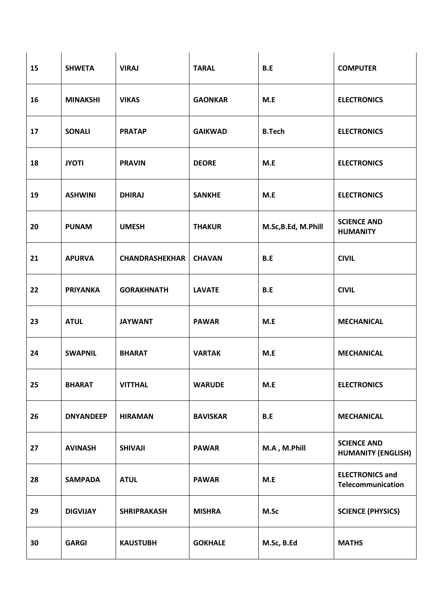| 15 | <b>SHWETA</b>    | <b>VIRAJ</b>          | <b>TARAL</b>    | B.E                | <b>COMPUTER</b>                                 |
|----|------------------|-----------------------|-----------------|--------------------|-------------------------------------------------|
| 16 | <b>MINAKSHI</b>  | <b>VIKAS</b>          | <b>GAONKAR</b>  | M.E                | <b>ELECTRONICS</b>                              |
| 17 | <b>SONALI</b>    | <b>PRATAP</b>         | <b>GAIKWAD</b>  | <b>B.Tech</b>      | <b>ELECTRONICS</b>                              |
| 18 | <b>JYOTI</b>     | <b>PRAVIN</b>         | <b>DEORE</b>    | M.E                | <b>ELECTRONICS</b>                              |
| 19 | <b>ASHWINI</b>   | <b>DHIRAJ</b>         | <b>SANKHE</b>   | M.E                | <b>ELECTRONICS</b>                              |
| 20 | <b>PUNAM</b>     | <b>UMESH</b>          | <b>THAKUR</b>   | M.Sc,B.Ed, M.Phill | <b>SCIENCE AND</b><br><b>HUMANITY</b>           |
| 21 | <b>APURVA</b>    | <b>CHANDRASHEKHAR</b> | <b>CHAVAN</b>   | B.E                | <b>CIVIL</b>                                    |
| 22 | <b>PRIYANKA</b>  | <b>GORAKHNATH</b>     | <b>LAVATE</b>   | B.E                | <b>CIVIL</b>                                    |
| 23 | <b>ATUL</b>      | <b>JAYWANT</b>        | <b>PAWAR</b>    | M.E                | <b>MECHANICAL</b>                               |
| 24 | <b>SWAPNIL</b>   | <b>BHARAT</b>         | <b>VARTAK</b>   | M.E                | <b>MECHANICAL</b>                               |
| 25 | <b>BHARAT</b>    | <b>VITTHAL</b>        | <b>WARUDE</b>   | M.E                | <b>ELECTRONICS</b>                              |
| 26 | <b>DNYANDEEP</b> | <b>HIRAMAN</b>        | <b>BAVISKAR</b> | B.E                | <b>MECHANICAL</b>                               |
| 27 | <b>AVINASH</b>   | <b>SHIVAJI</b>        | <b>PAWAR</b>    | M.A, M.Phill       | <b>SCIENCE AND</b><br><b>HUMANITY (ENGLISH)</b> |
| 28 | <b>SAMPADA</b>   | <b>ATUL</b>           | <b>PAWAR</b>    | M.E                | <b>ELECTRONICS and</b><br>Telecommunication     |
| 29 | <b>DIGVIJAY</b>  | <b>SHRIPRAKASH</b>    | <b>MISHRA</b>   | M.Sc               | <b>SCIENCE (PHYSICS)</b>                        |
| 30 | <b>GARGI</b>     | <b>KAUSTUBH</b>       | <b>GOKHALE</b>  | M.Sc, B.Ed         | <b>MATHS</b>                                    |